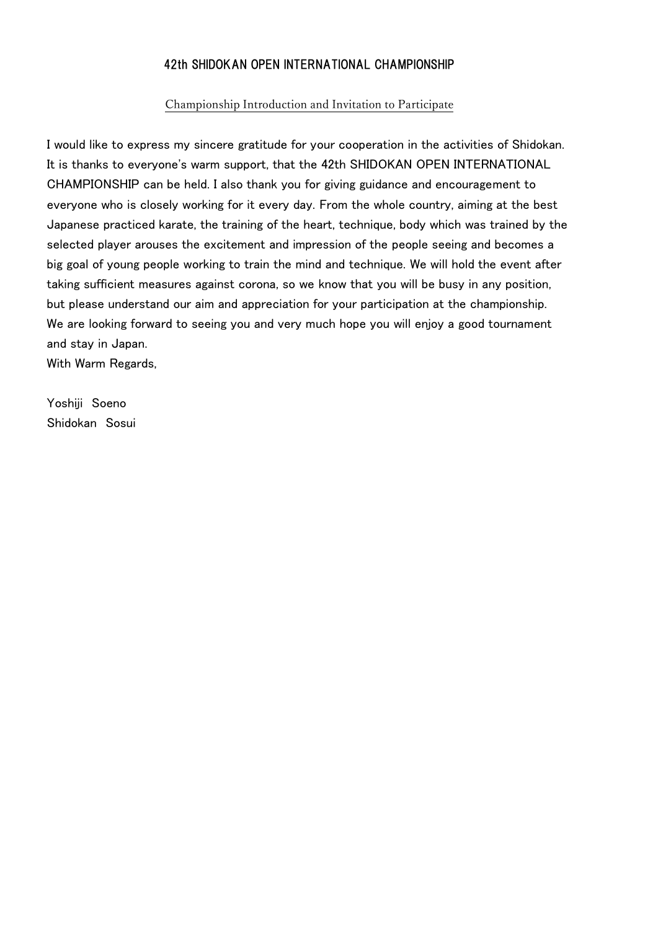## 42th SHIDOKAN OPEN INTERNATIONAL CHAMPIONSHIP

#### Championship Introduction and Invitation to Participate

I would like to express my sincere gratitude for your cooperation in the activities of Shidokan. It is thanks to everyone's warm support, that the 42th SHIDOKAN OPEN INTERNATIONAL CHAMPIONSHIP can be held. I also thank you for giving guidance and encouragement to everyone who is closely working for it every day. From the whole country, aiming at the best Japanese practiced karate, the training of the heart, technique, body which was trained by the selected player arouses the excitement and impression of the people seeing and becomes a big goal of young people working to train the mind and technique. We will hold the event after taking sufficient measures against corona, so we know that you will be busy in any position, but please understand our aim and appreciation for your participation at the championship. We are looking forward to seeing you and very much hope you will enjoy a good tournament and stay in Japan. With Warm Regards,

Yoshiji Soeno Shidokan Sosui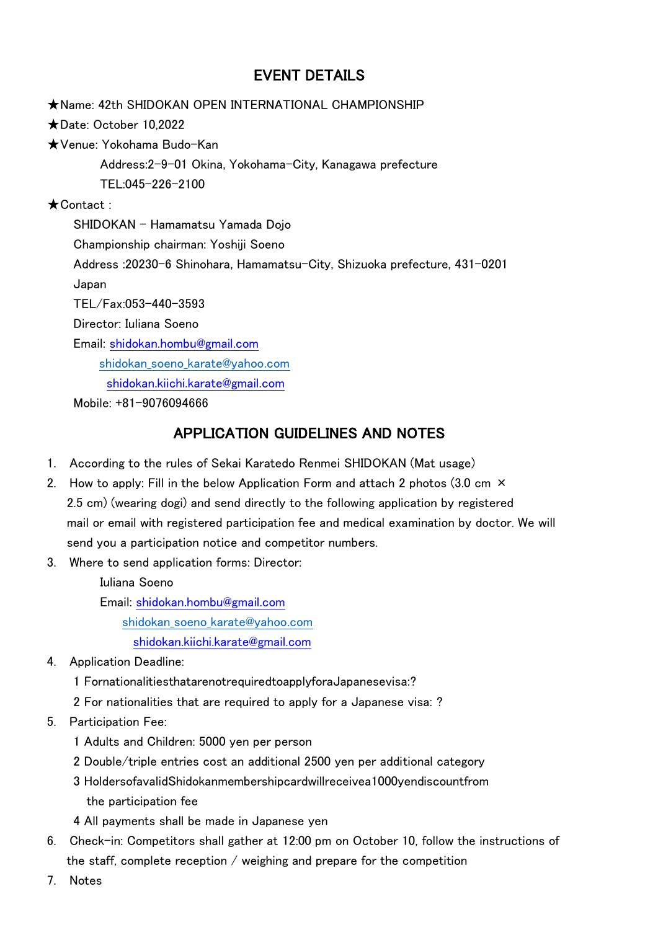# EVENT DETAILS

★Name: 42th SHIDOKAN OPEN INTERNATIONAL CHAMPIONSHIP ★Date: October 10,2022 ★Venue: Yokohama Budo-Kan Address:2-9-01 Okina, Yokohama-City, Kanagawa prefecture TEL:045-226-2100 ★Contact : SHIDOKAN - Hamamatsu Yamada Dojo Championship chairman: Yoshiji Soeno Address :20230-6 Shinohara, Hamamatsu-City, Shizuoka prefecture, 431-0201 Japan TEL/Fax:053-440-3593 Director: Iuliana Soeno Email: [shidokan.hombu@gmail.com](mailto:shidokan.hombu@gmail.com) [shidokan\\_soeno\\_karate@yahoo.com](mailto:shidokan_soeno_karate@yahoo.com) shidokan.kiichi.karate@gmail.com Mobile: +81-9076094666

# APPLICATION GUIDELINES AND NOTES

- 1. According to the rules of Sekai Karatedo Renmei SHIDOKAN (Mat usage)
- 2. How to apply: Fill in the below Application Form and attach 2 photos (3.0 cm  $\times$ 2.5 cm) (wearing dogi) and send directly to the following application by registered mail or email with registered participation fee and medical examination by doctor. We will send you a participation notice and competitor numbers.
- 3. Where to send application forms: Director:

Iuliana Soeno

Email: [shidokan.hombu@gmail.com](mailto:shidokan.hombu@gmail.com)

[shidokan\\_soeno\\_karate@yahoo.com](mailto:shidokan_soeno_karate@yahoo.com)

shidokan.kiichi.karate@gmail.com

- 4. Application Deadline:
	- 1 FornationalitiesthatarenotrequiredtoapplyforaJapanesevisa:?
	- 2 For nationalities that are required to apply for a Japanese visa: ?
- 5. Participation Fee:
	- 1 Adults and Children: 5000 yen per person
	- 2 Double/triple entries cost an additional 2500 yen per additional category
	- 3 HoldersofavalidShidokanmembershipcardwillreceivea1000yendiscountfrom the participation fee
	- 4 All payments shall be made in Japanese yen
- 6. Check-in: Competitors shall gather at 12:00 pm on October 10, follow the instructions of the staff, complete reception / weighing and prepare for the competition
- 7. Notes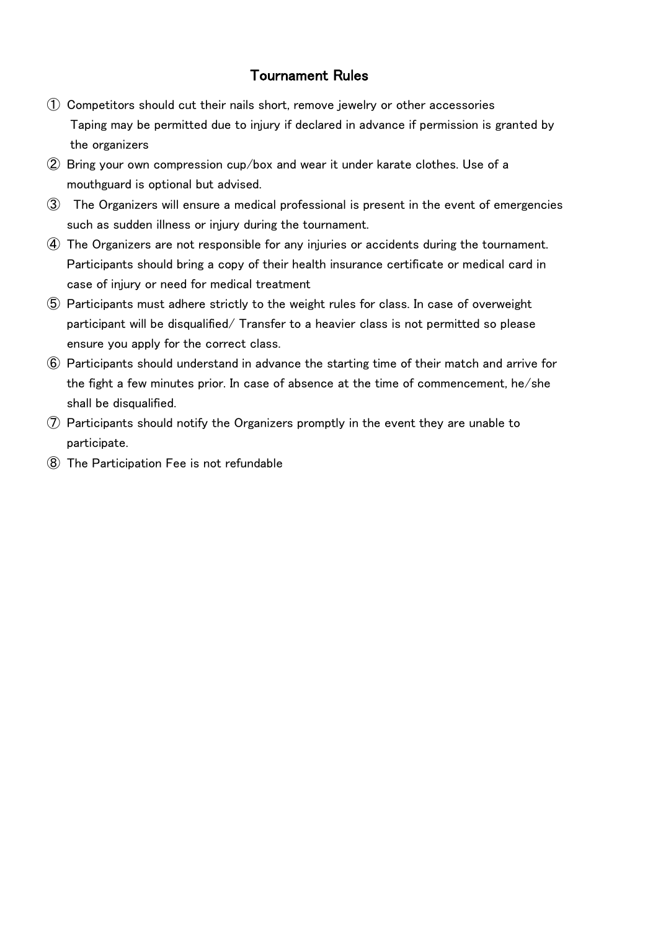# Tournament Rules

- ① Competitors should cut their nails short, remove jewelry or other accessories Taping may be permitted due to injury if declared in advance if permission is granted by the organizers
- ② Bring your own compression cup/box and wear it under karate clothes. Use of a mouthguard is optional but advised.
- ③ The Organizers will ensure a medical professional is present in the event of emergencies such as sudden illness or injury during the tournament.
- ④ The Organizers are not responsible for any injuries or accidents during the tournament. Participants should bring a copy of their health insurance certificate or medical card in case of injury or need for medical treatment
- ⑤ Participants must adhere strictly to the weight rules for class. In case of overweight participant will be disqualified/ Transfer to a heavier class is not permitted so please ensure you apply for the correct class.
- ⑥ Participants should understand in advance the starting time of their match and arrive for the fight a few minutes prior. In case of absence at the time of commencement, he/she shall be disqualified.
- ⑦ Participants should notify the Organizers promptly in the event they are unable to participate.
- ⑧ The Participation Fee is not refundable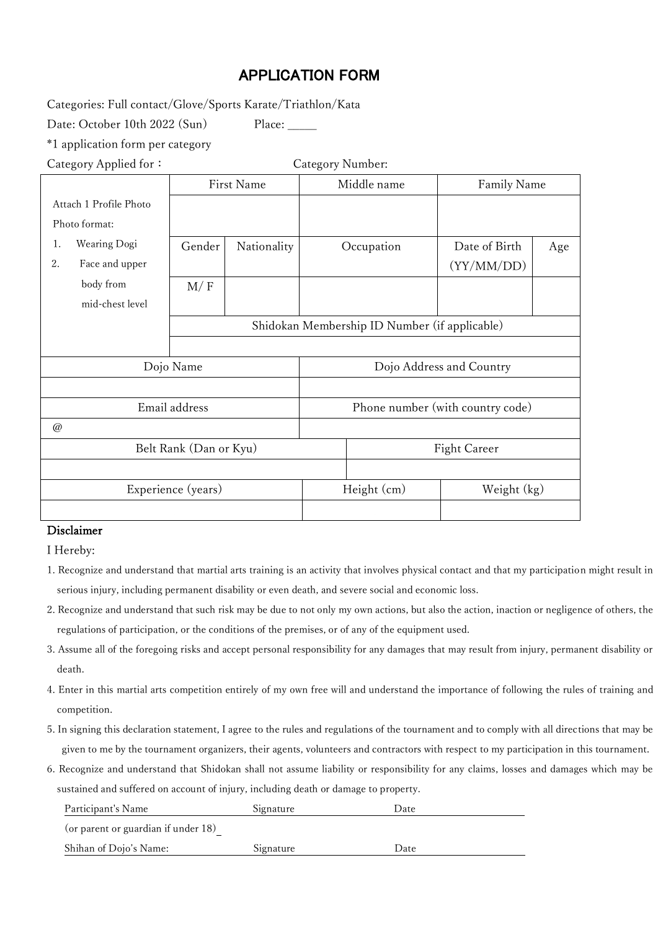# APPLICATION FORM

Categories: Full contact/Glove/Sports Karate/Triathlon/Kata

Date: October 10th 2022 (Sun) Place:

\*1 application form per category

Category Applied for: Category Number:

|                        |                 | First Name            |             | Middle name                                   |              | Family Name   |     |  |
|------------------------|-----------------|-----------------------|-------------|-----------------------------------------------|--------------|---------------|-----|--|
| Attach 1 Profile Photo |                 |                       |             |                                               |              |               |     |  |
|                        | Photo format:   |                       |             |                                               |              |               |     |  |
| 1.                     | Wearing Dogi    | Gender<br>Nationality |             |                                               | Occupation   | Date of Birth | Age |  |
| 2.                     | Face and upper  |                       |             |                                               |              | (YY/MM/DD)    |     |  |
|                        | body from       | M/F                   |             |                                               |              |               |     |  |
|                        | mid-chest level |                       |             |                                               |              |               |     |  |
|                        |                 |                       |             | Shidokan Membership ID Number (if applicable) |              |               |     |  |
|                        |                 |                       |             |                                               |              |               |     |  |
|                        |                 | Dojo Name             |             | Dojo Address and Country                      |              |               |     |  |
|                        |                 |                       |             |                                               |              |               |     |  |
|                        |                 | Email address         |             | Phone number (with country code)              |              |               |     |  |
| @                      |                 |                       |             |                                               |              |               |     |  |
| Belt Rank (Dan or Kyu) |                 |                       |             |                                               | Fight Career |               |     |  |
|                        |                 |                       |             |                                               |              |               |     |  |
| Experience (years)     |                 |                       | Height (cm) |                                               | Weight (kg)  |               |     |  |
|                        |                 |                       |             |                                               |              |               |     |  |

## Disclaimer

I Hereby:

- 1. Recognize and understand that martial arts training is an activity that involves physical contact and that my participation might result in serious injury, including permanent disability or even death, and severe social and economic loss.
- 2. Recognize and understand that such risk may be due to not only my own actions, but also the action, inaction or negligence of others, the regulations of participation, or the conditions of the premises, or of any of the equipment used.
- 3. Assume all of the foregoing risks and accept personal responsibility for any damages that may result from injury, permanent disability or death.
- 4. Enter in this martial arts competition entirely of my own free will and understand the importance of following the rules of training and competition.
- 5. In signing this declaration statement, I agree to the rules and regulations of the tournament and to comply with all directions that may be given to me by the tournament organizers, their agents, volunteers and contractors with respect to my participation in this tournament.
- 6. Recognize and understand that Shidokan shall not assume liability or responsibility for any claims, losses and damages which may be sustained and suffered on account of injury, including death or damage to property.

| Participant's Name                  | Signature | Date |
|-------------------------------------|-----------|------|
| (or parent or guardian if under 18) |           |      |
| Shihan of Dojo's Name:              | Signature | Date |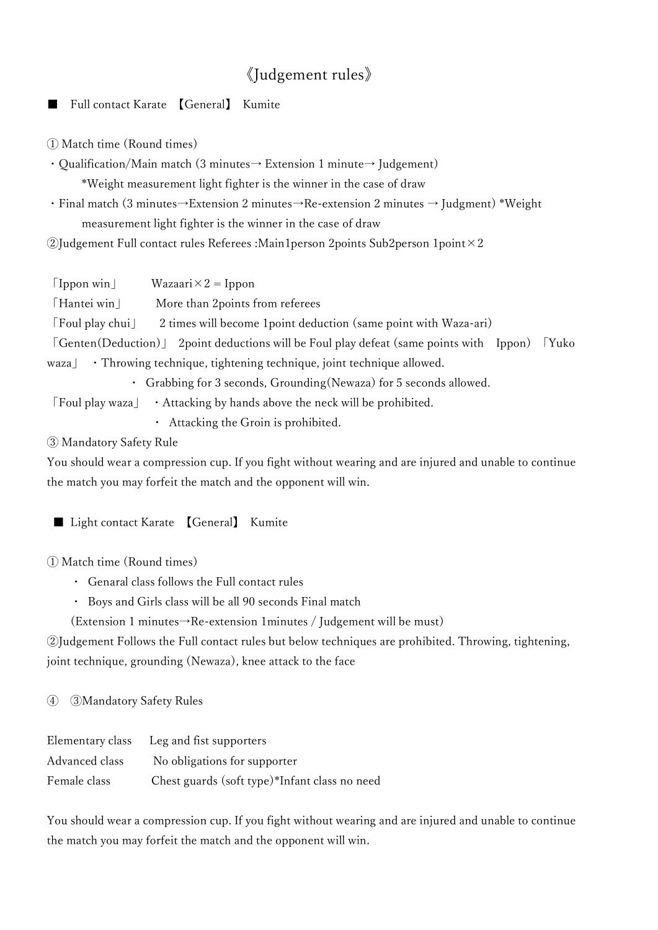# 《Judgement rules》

Full contact Karate 【General】 Kumite

① Match time (Round times)

・Qualification/Main match (3 minutes→ Extension 1 minute→ Judgement) \*Weight measurement light fighter is the winner in the case of draw

・Final match (3 minutes→Extension 2 minutes→Re-extension 2 minutes → Judgment) \*Weight measurement light fighter is the winner in the case of draw

 $\mathcal{Q}$ Judgement Full contact rules Referees :Main1person 2points Sub2person 1point $\times 2$ 

 $\lceil \text{Ippon win} \rceil$  Wazaari $\times 2 = \text{Ippon}$ 「Hantei win」 More than 2points from referees 「Foul play chui」 2 times will become 1point deduction (same point with Waza-ari) 「Genten(Deduction)」 2point deductions will be Foul play defeat (same points with Ippon) 「Yuko waza **· Throwing technique, tightening technique, joint technique allowed.** Grabbing for 3 seconds, Grounding(Newaza) for 5 seconds allowed. 「Foul play waza」 ・Attacking by hands above the neck will be prohibited. ・ Attacking the Groin is prohibited.

③ Mandatory Safety Rule

You should wear a compression cup. If you fight without wearing and are injured and unable to continue the match you may forfeit the match and the opponent will win.

■ Light contact Karate 【General】 Kumite

① Match time (Round times)

- ・ Genaral class follows the Full contact rules
- ・ Boys and Girls class will be all 90 seconds Final match

(Extension 1 minutes→Re-extension 1minutes / Judgement will be must)

②Judgement Follows the Full contact rules but below techniques are prohibited. Throwing, tightening, joint technique, grounding (Newaza), knee attack to the face

④ ③Mandatory Safety Rules

| Elementary class | Leg and fist supporters                       |
|------------------|-----------------------------------------------|
| Advanced class   | No obligations for supporter                  |
| Female class     | Chest guards (soft type)*Infant class no need |

You should wear a compression cup. If you fight without wearing and are injured and unable to continue the match you may forfeit the match and the opponent will win.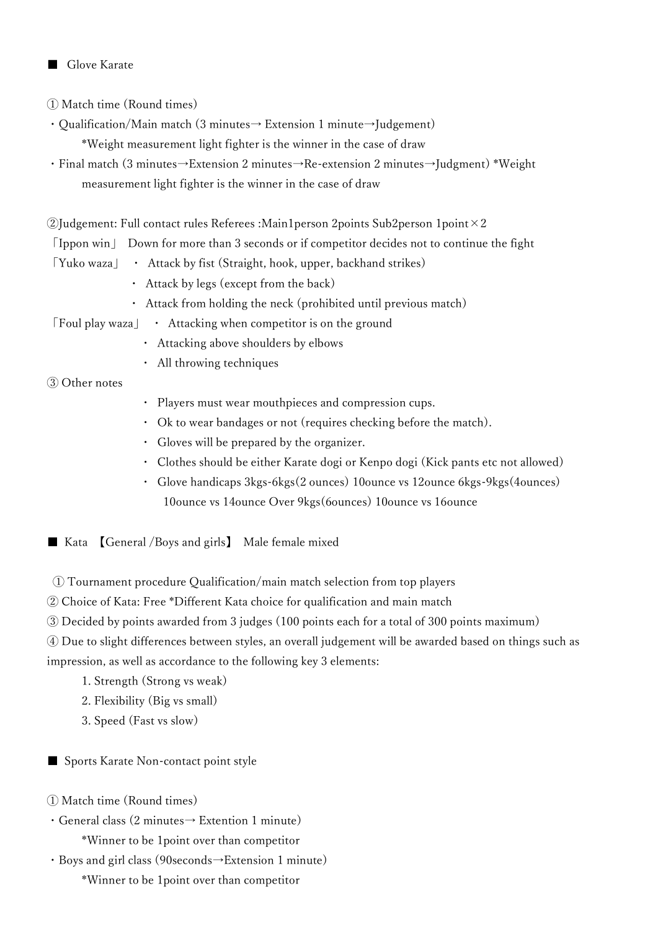## Glove Karate

① Match time (Round times)

- ・Qualification/Main match (3 minutes→ Extension 1 minute→Judgement) \*Weight measurement light fighter is the winner in the case of draw
- ・Final match (3 minutes→Extension 2 minutes→Re-extension 2 minutes→Judgment) \*Weight measurement light fighter is the winner in the case of draw

 $\Omega$ Judgement: Full contact rules Referees :Main1person 2points Sub2person 1point  $\times 2$ 

「Ippon win」 Down for more than 3 seconds or if competitor decides not to continue the fight

- 「Yuko waza」 ・ Attack by fist (Straight, hook, upper, backhand strikes)
	- ・ Attack by legs (except from the back)
	- ・ Attack from holding the neck (prohibited until previous match)
- 「Foul play waza」 ・ Attacking when competitor is on the ground
	- ・ Attacking above shoulders by elbows
	- ・ All throwing techniques

③ Other notes

- ・ Players must wear mouthpieces and compression cups.
- ・ Ok to wear bandages or not (requires checking before the match).
- ・ Gloves will be prepared by the organizer.
- Clothes should be either Karate dogi or Kenpo dogi (Kick pants etc not allowed)
- Glove handicaps 3kgs-6kgs(2 ounces) 10ounce vs 12ounce 6kgs-9kgs(4ounces) 10ounce vs 14ounce Over 9kgs(6ounces) 10ounce vs 16ounce

■ Kata 【General /Boys and girls】 Male female mixed

- ① Tournament procedure Qualification/main match selection from top players
- ② Choice of Kata: Free \*Different Kata choice for qualification and main match
- ③ Decided by points awarded from 3 judges (100 points each for a total of 300 points maximum)

④ Due to slight differences between styles, an overall judgement will be awarded based on things such as impression, as well as accordance to the following key 3 elements:

- 1. Strength (Strong vs weak)
- 2. Flexibility (Big vs small)
- 3. Speed (Fast vs slow)
- Sports Karate Non-contact point style
- ① Match time (Round times)
- ・General class (2 minutes→ Extention 1 minute) \*Winner to be 1point over than competitor
- ・Boys and girl class (90seconds→Extension 1 minute)
	- \*Winner to be 1point over than competitor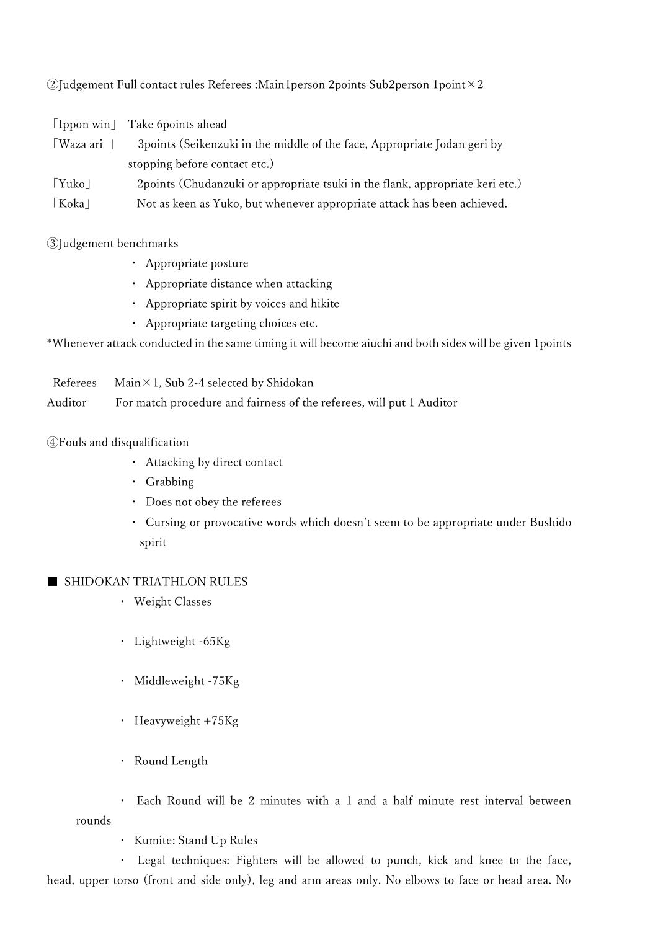②Judgement Full contact rules Referees :Main1person 2points Sub2person 1point×2

|                        | [Ippon win] Take 6 points ahead                                                |
|------------------------|--------------------------------------------------------------------------------|
| Waza ari               | 3 points (Seikenzuki in the middle of the face, Appropriate Jodan geri by      |
|                        | stopping before contact etc.)                                                  |
| $\lceil$ Yuko $\lceil$ | 2 points (Chudanzuki or appropriate tsuki in the flank, appropriate keri etc.) |
| $\lceil Koka \rceil$   | Not as keen as Yuko, but whenever appropriate attack has been achieved.        |

③Judgement benchmarks

- ・ Appropriate posture
- ・ Appropriate distance when attacking
- ・ Appropriate spirit by voices and hikite
- ・ Appropriate targeting choices etc.

\*Whenever attack conducted in the same timing it will become aiuchi and both sides will be given 1points

|         | Referees Main $\times$ 1, Sub 2-4 selected by Shidokan               |
|---------|----------------------------------------------------------------------|
| Auditor | For match procedure and fairness of the referees, will put 1 Auditor |

#### ④Fouls and disqualification

- ・ Attacking by direct contact
- ・ Grabbing
- ・ Does not obey the referees
- ・ Cursing or provocative words which doesn't seem to be appropriate under Bushido spirit

#### ■ SHIDOKAN TRIATHLON RULES

- ・ Weight Classes
- ・ Lightweight -65Kg
- ・ Middleweight -75Kg
- ・ Heavyweight +75Kg
- ・ Round Length

・ Each Round will be 2 minutes with a 1 and a half minute rest interval between rounds

・ Kumite: Stand Up Rules

・ Legal techniques: Fighters will be allowed to punch, kick and knee to the face, head, upper torso (front and side only), leg and arm areas only. No elbows to face or head area. No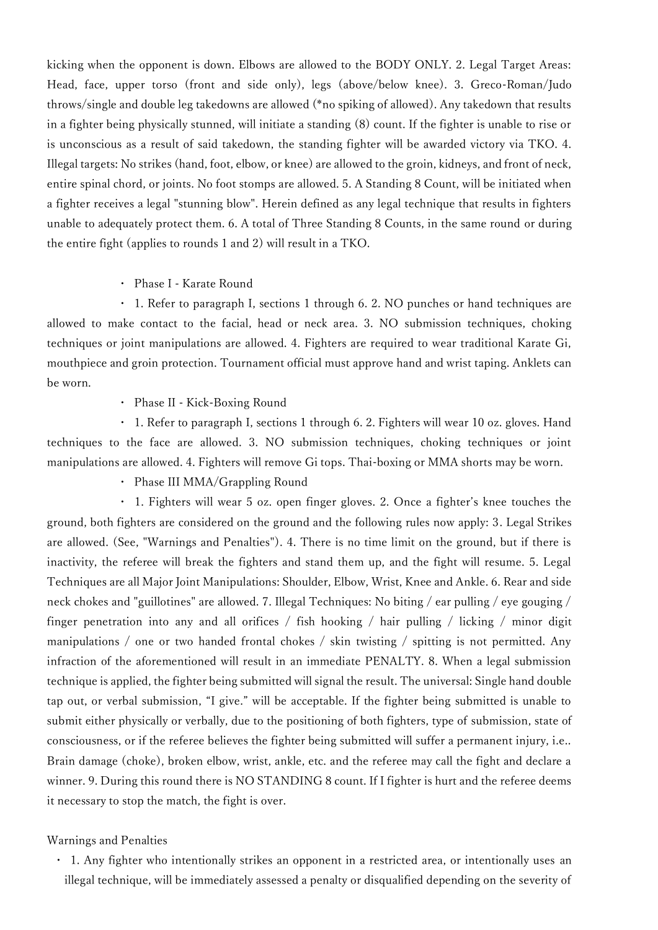kicking when the opponent is down. Elbows are allowed to the BODY ONLY. 2. Legal Target Areas: Head, face, upper torso (front and side only), legs (above/below knee). 3. Greco-Roman/Judo throws/single and double leg takedowns are allowed (\*no spiking of allowed). Any takedown that results in a fighter being physically stunned, will initiate a standing (8) count. If the fighter is unable to rise or is unconscious as a result of said takedown, the standing fighter will be awarded victory via TKO. 4. Illegal targets: No strikes (hand, foot, elbow, or knee) are allowed to the groin, kidneys, and front of neck, entire spinal chord, or joints. No foot stomps are allowed. 5. A Standing 8 Count, will be initiated when a fighter receives a legal "stunning blow". Herein defined as any legal technique that results in fighters unable to adequately protect them. 6. A total of Three Standing 8 Counts, in the same round or during the entire fight (applies to rounds 1 and 2) will result in a TKO.

・ Phase I - Karate Round

・ 1. Refer to paragraph I, sections 1 through 6. 2. NO punches or hand techniques are allowed to make contact to the facial, head or neck area. 3. NO submission techniques, choking techniques or joint manipulations are allowed. 4. Fighters are required to wear traditional Karate Gi, mouthpiece and groin protection. Tournament official must approve hand and wrist taping. Anklets can be worn.

・ Phase II - Kick-Boxing Round

・ 1. Refer to paragraph I, sections 1 through 6. 2. Fighters will wear 10 oz. gloves. Hand techniques to the face are allowed. 3. NO submission techniques, choking techniques or joint manipulations are allowed. 4. Fighters will remove Gi tops. Thai-boxing or MMA shorts may be worn.

・ Phase III MMA/Grappling Round

・ 1. Fighters will wear 5 oz. open finger gloves. 2. Once a fighter's knee touches the ground, both fighters are considered on the ground and the following rules now apply: 3. Legal Strikes are allowed. (See, "Warnings and Penalties"). 4. There is no time limit on the ground, but if there is inactivity, the referee will break the fighters and stand them up, and the fight will resume. 5. Legal Techniques are all Major Joint Manipulations: Shoulder, Elbow, Wrist, Knee and Ankle. 6. Rear and side neck chokes and "guillotines" are allowed. 7. Illegal Techniques: No biting / ear pulling / eye gouging / finger penetration into any and all orifices / fish hooking / hair pulling / licking / minor digit manipulations / one or two handed frontal chokes / skin twisting / spitting is not permitted. Any infraction of the aforementioned will result in an immediate PENALTY. 8. When a legal submission technique is applied, the fighter being submitted will signal the result. The universal: Single hand double tap out, or verbal submission, "I give." will be acceptable. If the fighter being submitted is unable to submit either physically or verbally, due to the positioning of both fighters, type of submission, state of consciousness, or if the referee believes the fighter being submitted will suffer a permanent injury, i.e.. Brain damage (choke), broken elbow, wrist, ankle, etc. and the referee may call the fight and declare a winner. 9. During this round there is NO STANDING 8 count. If I fighter is hurt and the referee deems it necessary to stop the match, the fight is over.

#### Warnings and Penalties

・ 1. Any fighter who intentionally strikes an opponent in a restricted area, or intentionally uses an illegal technique, will be immediately assessed a penalty or disqualified depending on the severity of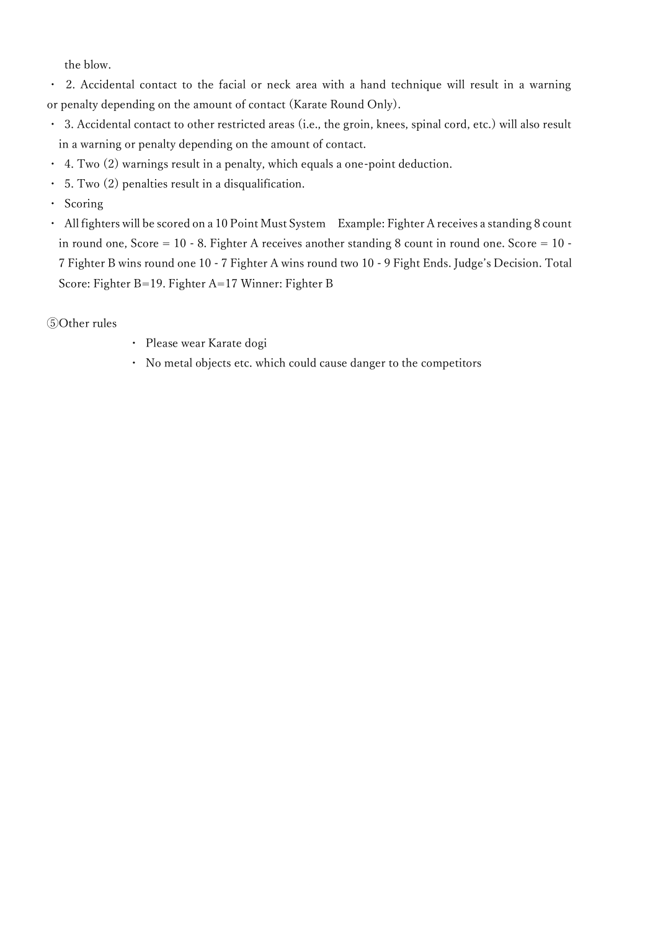the blow.

・ 2. Accidental contact to the facial or neck area with a hand technique will result in a warning or penalty depending on the amount of contact (Karate Round Only).

- 3. Accidental contact to other restricted areas (i.e., the groin, knees, spinal cord, etc.) will also result in a warning or penalty depending on the amount of contact.
- $\cdot$  4. Two (2) warnings result in a penalty, which equals a one-point deduction.
- ・ 5. Two (2) penalties result in a disqualification.
- ・ Scoring
- ・ All fighters will be scored on a 10 Point Must System Example: Fighter A receives a standing 8 count in round one, Score =  $10 - 8$ . Fighter A receives another standing 8 count in round one. Score =  $10 - 10$ 7 Fighter B wins round one 10 - 7 Fighter A wins round two 10 - 9 Fight Ends. Judge's Decision. Total Score: Fighter B=19. Fighter A=17 Winner: Fighter B

#### ⑤Other rules

- ・ Please wear Karate dogi
- ・ No metal objects etc. which could cause danger to the competitors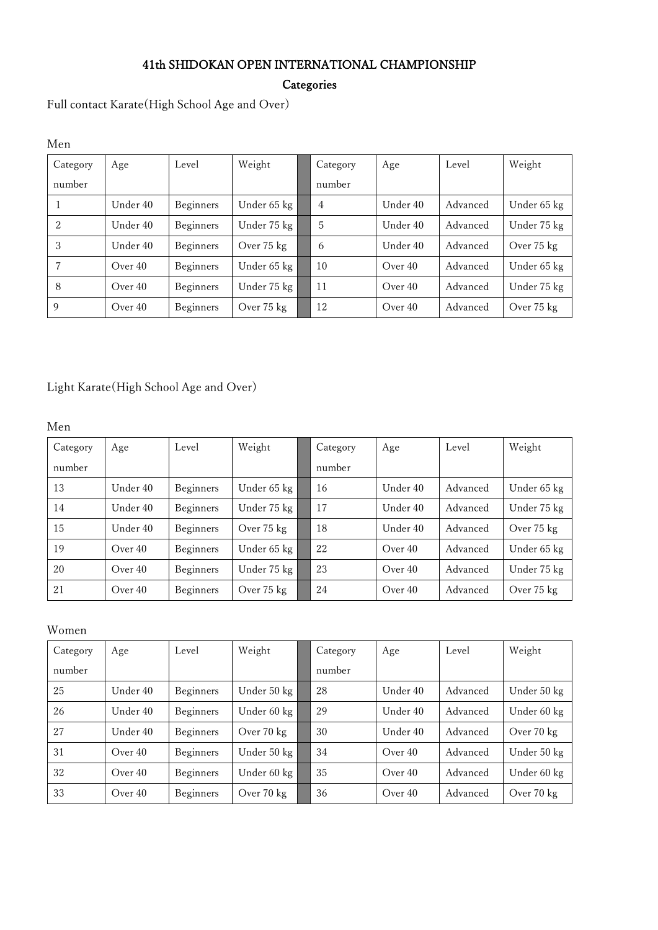## 41th SHIDOKAN OPEN INTERNATIONAL CHAMPIONSHIP

**Categories** 

Full contact Karate(High School Age and Over)

| Men      |          |                  |             |          |          |          |             |
|----------|----------|------------------|-------------|----------|----------|----------|-------------|
| Category | Age      | Level            | Weight      | Category | Age      | Level    | Weight      |
| number   |          |                  |             | number   |          |          |             |
|          | Under 40 | <b>Beginners</b> | Under 65 kg | 4        | Under 40 | Advanced | Under 65 kg |
| 2        | Under 40 | <b>Beginners</b> | Under 75 kg | 5        | Under 40 | Advanced | Under 75 kg |
| 3        | Under 40 | <b>Beginners</b> | Over 75 kg  | 6        | Under 40 | Advanced | Over 75 kg  |
| 7        | Over 40  | Beginners        | Under 65 kg | 10       | Over 40  | Advanced | Under 65 kg |
| 8        | Over 40  | Beginners        | Under 75 kg | 11       | Over 40  | Advanced | Under 75 kg |
| 9        | Over 40  | <b>Beginners</b> | Over 75 kg  | 12       | Over 40  | Advanced | Over 75 kg  |

# Light Karate(High School Age and Over)

Men

| Category | Age      | Level            | Weight      | Category | Age      | Level    | Weight      |
|----------|----------|------------------|-------------|----------|----------|----------|-------------|
| number   |          |                  |             | number   |          |          |             |
| 13       | Under 40 | <b>Beginners</b> | Under 65 kg | 16       | Under 40 | Advanced | Under 65 kg |
| 14       | Under 40 | <b>Beginners</b> | Under 75 kg | 17       | Under 40 | Advanced | Under 75 kg |
| 15       | Under 40 | Beginners        | Over 75 kg  | 18       | Under 40 | Advanced | Over 75 kg  |
| 19       | Over 40  | <b>Beginners</b> | Under 65 kg | 22       | Over 40  | Advanced | Under 65 kg |
| 20       | Over 40  | Beginners        | Under 75 kg | 23       | Over 40  | Advanced | Under 75 kg |
| 21       | Over 40  | Beginners        | Over 75 kg  | 24       | Over 40  | Advanced | Over 75 kg  |

Women

| Category | Age       | Level            | Weight      | Category | Age      | Level    | Weight      |
|----------|-----------|------------------|-------------|----------|----------|----------|-------------|
| number   |           |                  |             | number   |          |          |             |
| 25       | Under 40  | <b>Beginners</b> | Under 50 kg | 28       | Under 40 | Advanced | Under 50 kg |
| 26       | Under 40  | <b>Beginners</b> | Under 60 kg | 29       | Under 40 | Advanced | Under 60 kg |
| 27       | Under 40  | <b>Beginners</b> | Over 70 kg  | 30       | Under 40 | Advanced | Over 70 kg  |
| 31       | Over $40$ | <b>Beginners</b> | Under 50 kg | 34       | Over 40  | Advanced | Under 50 kg |
| 32       | Over 40   | <b>Beginners</b> | Under 60 kg | 35       | Over 40  | Advanced | Under 60 kg |
| 33       | Over 40   | Beginners        | Over 70 kg  | 36       | Over 40  | Advanced | Over 70 kg  |